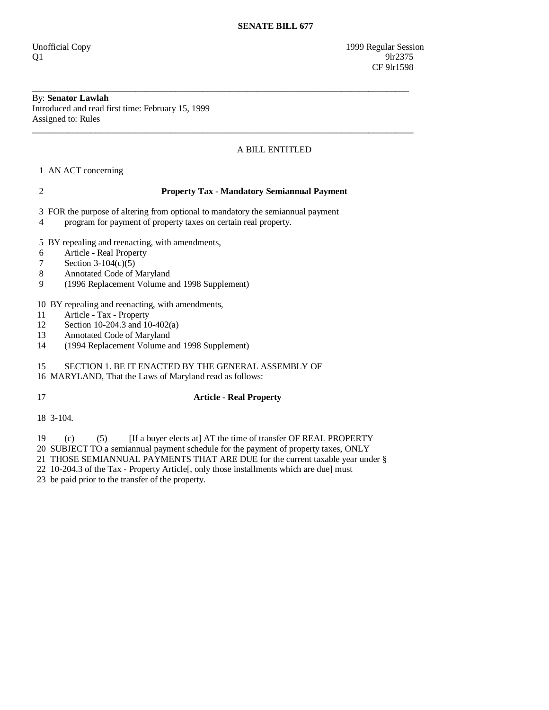Unofficial Copy 1999 Regular Session  $Q1$  9lr2375 CF 9lr1598

# By: **Senator Lawlah**

Introduced and read first time: February 15, 1999 Assigned to: Rules \_\_\_\_\_\_\_\_\_\_\_\_\_\_\_\_\_\_\_\_\_\_\_\_\_\_\_\_\_\_\_\_\_\_\_\_\_\_\_\_\_\_\_\_\_\_\_\_\_\_\_\_\_\_\_\_\_\_\_\_\_\_\_\_\_\_\_\_\_\_\_\_\_\_\_\_\_\_\_\_\_\_\_\_\_

# A BILL ENTITLED

1 AN ACT concerning

#### 2 **Property Tax - Mandatory Semiannual Payment**

\_\_\_\_\_\_\_\_\_\_\_\_\_\_\_\_\_\_\_\_\_\_\_\_\_\_\_\_\_\_\_\_\_\_\_\_\_\_\_\_\_\_\_\_\_\_\_\_\_\_\_\_\_\_\_\_\_\_\_\_\_\_\_\_\_\_\_\_\_\_\_\_\_\_\_\_\_\_\_\_\_\_\_\_

3 FOR the purpose of altering from optional to mandatory the semiannual payment

4 program for payment of property taxes on certain real property.

5 BY repealing and reenacting, with amendments,

- 6 Article Real Property
- 7 Section 3-104(c)(5)
- 8 Annotated Code of Maryland
- 9 (1996 Replacement Volume and 1998 Supplement)

10 BY repealing and reenacting, with amendments,

- 11 Article Tax Property
- 12 Section 10-204.3 and 10-402(a)<br>13 Annotated Code of Marvland
- Annotated Code of Maryland
- 14 (1994 Replacement Volume and 1998 Supplement)

## 15 SECTION 1. BE IT ENACTED BY THE GENERAL ASSEMBLY OF

16 MARYLAND, That the Laws of Maryland read as follows:

## 17 **Article - Real Property**

18 3-104.

19 (c) (5) [If a buyer elects at] AT the time of transfer OF REAL PROPERTY

20 SUBJECT TO a semiannual payment schedule for the payment of property taxes, ONLY

21 THOSE SEMIANNUAL PAYMENTS THAT ARE DUE for the current taxable year under §

22 10-204.3 of the Tax - Property Article[, only those installments which are due] must

23 be paid prior to the transfer of the property.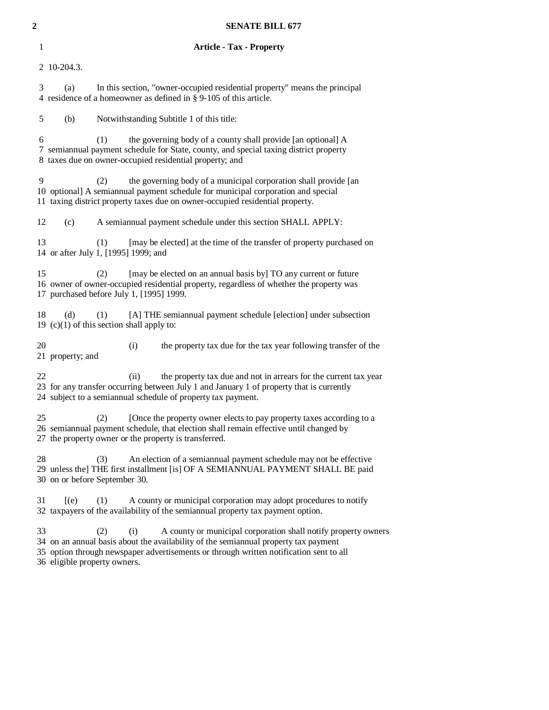| 2 |    | <b>SENATE BILL 677</b>                                                                                                                                                                                                                                                                        |  |  |  |  |  |
|---|----|-----------------------------------------------------------------------------------------------------------------------------------------------------------------------------------------------------------------------------------------------------------------------------------------------|--|--|--|--|--|
|   | 1  | <b>Article - Tax - Property</b>                                                                                                                                                                                                                                                               |  |  |  |  |  |
|   |    | 2 10-204.3.                                                                                                                                                                                                                                                                                   |  |  |  |  |  |
|   | 3  | In this section, "owner-occupied residential property" means the principal<br>(a)<br>4 residence of a homeowner as defined in § 9-105 of this article.                                                                                                                                        |  |  |  |  |  |
|   | 5  | (b)<br>Notwithstanding Subtitle 1 of this title:                                                                                                                                                                                                                                              |  |  |  |  |  |
|   | 6  | (1)<br>the governing body of a county shall provide [an optional] A<br>7 semiannual payment schedule for State, county, and special taxing district property<br>8 taxes due on owner-occupied residential property; and                                                                       |  |  |  |  |  |
|   | 9  | the governing body of a municipal corporation shall provide [an<br>(2)<br>10 optional] A semiannual payment schedule for municipal corporation and special<br>11 taxing district property taxes due on owner-occupied residential property.                                                   |  |  |  |  |  |
|   | 12 | A semiannual payment schedule under this section SHALL APPLY:<br>(c)                                                                                                                                                                                                                          |  |  |  |  |  |
|   | 13 | (1)<br>[may be elected] at the time of the transfer of property purchased on<br>14 or after July 1, [1995] 1999; and                                                                                                                                                                          |  |  |  |  |  |
|   | 15 | [may be elected on an annual basis by] TO any current or future<br>(2)<br>16 owner of owner-occupied residential property, regardless of whether the property was<br>17 purchased before July 1, [1995] 1999.                                                                                 |  |  |  |  |  |
|   | 18 | (d)<br>[A] THE semiannual payment schedule [election] under subsection<br>(1)<br>19 (c)(1) of this section shall apply to:                                                                                                                                                                    |  |  |  |  |  |
|   | 20 | the property tax due for the tax year following transfer of the<br>(i)<br>21 property; and                                                                                                                                                                                                    |  |  |  |  |  |
|   | 22 | (ii)<br>the property tax due and not in arrears for the current tax year<br>23 for any transfer occurring between July 1 and January 1 of property that is currently<br>24 subject to a semiannual schedule of property tax payment.                                                          |  |  |  |  |  |
|   | 25 | (2)<br>[Once the property owner elects to pay property taxes according to a<br>26 semiannual payment schedule, that election shall remain effective until changed by<br>27 the property owner or the property is transferred.                                                                 |  |  |  |  |  |
|   | 28 | An election of a semiannual payment schedule may not be effective<br>(3)<br>29 unless the] THE first installment [is] OF A SEMIANNUAL PAYMENT SHALL BE paid<br>30 on or before September 30.                                                                                                  |  |  |  |  |  |
|   | 31 | A county or municipal corporation may adopt procedures to notify<br>$[$ (e)<br>(1)<br>32 taxpayers of the availability of the semiannual property tax payment option.                                                                                                                         |  |  |  |  |  |
|   | 33 | A county or municipal corporation shall notify property owners<br>(2)<br>(i)<br>34 on an annual basis about the availability of the semiannual property tax payment<br>35 option through newspaper advertisements or through written notification sent to all<br>36 eligible property owners. |  |  |  |  |  |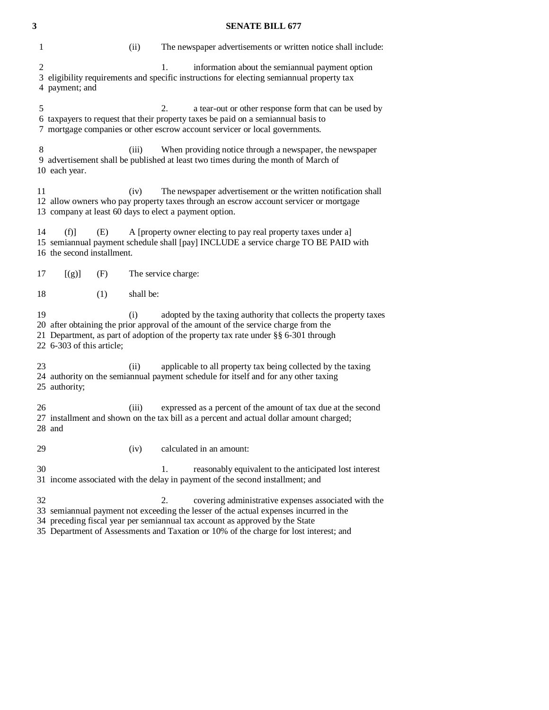#### **3 SENATE BILL 677**

| 1                                                            | (ii)      | The newspaper advertisements or written notice shall include:                                                                                                                                                                                |
|--------------------------------------------------------------|-----------|----------------------------------------------------------------------------------------------------------------------------------------------------------------------------------------------------------------------------------------------|
| $\overline{2}$<br>4 payment; and                             |           | 1.<br>information about the semiannual payment option<br>3 eligibility requirements and specific instructions for electing semiannual property tax                                                                                           |
| 5                                                            |           | 2.<br>a tear-out or other response form that can be used by<br>6 taxpayers to request that their property taxes be paid on a semiannual basis to<br>7 mortgage companies or other escrow account servicer or local governments.              |
| 8<br>10 each year.                                           | (iii)     | When providing notice through a newspaper, the newspaper<br>9 advertisement shall be published at least two times during the month of March of                                                                                               |
| 11<br>13 company at least 60 days to elect a payment option. | (iv)      | The newspaper advertisement or the written notification shall<br>12 allow owners who pay property taxes through an escrow account servicer or mortgage                                                                                       |
| 14<br>(f)<br>(E)<br>16 the second installment.               |           | A [property owner electing to pay real property taxes under a]<br>15 semiannual payment schedule shall [pay] INCLUDE a service charge TO BE PAID with                                                                                        |
| [(g)]<br>(F)<br>17                                           |           | The service charge:                                                                                                                                                                                                                          |
| 18<br>(1)                                                    | shall be: |                                                                                                                                                                                                                                              |
| 19<br>22 6-303 of this article;                              | (i)       | adopted by the taxing authority that collects the property taxes<br>20 after obtaining the prior approval of the amount of the service charge from the<br>21 Department, as part of adoption of the property tax rate under §§ 6-301 through |
| 23<br>25 authority;                                          | (i)       | applicable to all property tax being collected by the taxing<br>24 authority on the semiannual payment schedule for itself and for any other taxing                                                                                          |
| 26<br>28 and                                                 | (iii)     | expressed as a percent of the amount of tax due at the second<br>27 installment and shown on the tax bill as a percent and actual dollar amount charged;                                                                                     |
| 29                                                           | (iv)      | calculated in an amount:                                                                                                                                                                                                                     |
| 30                                                           |           | reasonably equivalent to the anticipated lost interest<br>1.<br>31 income associated with the delay in payment of the second installment; and                                                                                                |
| 32                                                           |           | covering administrative expenses associated with the<br>2.<br>33 semiannual payment not exceeding the lesser of the actual expenses incurred in the<br>34 preceding fiscal year per semiannual tax account as approved by the State          |

35 Department of Assessments and Taxation or 10% of the charge for lost interest; and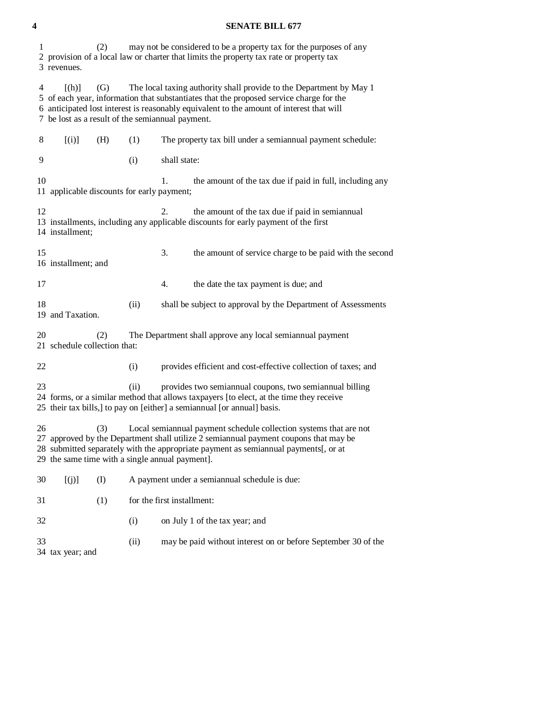#### **4 SENATE BILL 677**

| 1  | 3 revenues.                                                                                                                                                                                                                                                                                                | (2) |      | may not be considered to be a property tax for the purposes of any<br>2 provision of a local law or charter that limits the property tax rate or property tax                                                                                                                                                  |  |  |  |
|----|------------------------------------------------------------------------------------------------------------------------------------------------------------------------------------------------------------------------------------------------------------------------------------------------------------|-----|------|----------------------------------------------------------------------------------------------------------------------------------------------------------------------------------------------------------------------------------------------------------------------------------------------------------------|--|--|--|
| 4  | [(h)]                                                                                                                                                                                                                                                                                                      | (G) |      | The local taxing authority shall provide to the Department by May 1<br>5 of each year, information that substantiates that the proposed service charge for the<br>6 anticipated lost interest is reasonably equivalent to the amount of interest that will<br>7 be lost as a result of the semiannual payment. |  |  |  |
| 8  | [(i)]                                                                                                                                                                                                                                                                                                      | (H) | (1)  | The property tax bill under a semiannual payment schedule:                                                                                                                                                                                                                                                     |  |  |  |
| 9  |                                                                                                                                                                                                                                                                                                            |     | (i)  | shall state:                                                                                                                                                                                                                                                                                                   |  |  |  |
| 10 | 11 applicable discounts for early payment;                                                                                                                                                                                                                                                                 |     |      | the amount of the tax due if paid in full, including any<br>1.                                                                                                                                                                                                                                                 |  |  |  |
| 12 | 14 installment;                                                                                                                                                                                                                                                                                            |     |      | the amount of the tax due if paid in semiannual<br>2.<br>13 installments, including any applicable discounts for early payment of the first                                                                                                                                                                    |  |  |  |
| 15 | 16 installment; and                                                                                                                                                                                                                                                                                        |     |      | 3.<br>the amount of service charge to be paid with the second                                                                                                                                                                                                                                                  |  |  |  |
| 17 |                                                                                                                                                                                                                                                                                                            |     |      | 4.<br>the date the tax payment is due; and                                                                                                                                                                                                                                                                     |  |  |  |
| 18 | 19 and Taxation.                                                                                                                                                                                                                                                                                           |     | (ii) | shall be subject to approval by the Department of Assessments                                                                                                                                                                                                                                                  |  |  |  |
| 20 | 21 schedule collection that:                                                                                                                                                                                                                                                                               | (2) |      | The Department shall approve any local semiannual payment                                                                                                                                                                                                                                                      |  |  |  |
| 22 |                                                                                                                                                                                                                                                                                                            |     | (i)  | provides efficient and cost-effective collection of taxes; and                                                                                                                                                                                                                                                 |  |  |  |
| 23 |                                                                                                                                                                                                                                                                                                            |     | (ii) | provides two semiannual coupons, two semiannual billing<br>24 forms, or a similar method that allows taxpayers [to elect, at the time they receive<br>25 their tax bills,] to pay on [either] a semiannual [or annual] basis.                                                                                  |  |  |  |
| 26 | (3)<br>Local semiannual payment schedule collection systems that are not<br>27 approved by the Department shall utilize 2 semiannual payment coupons that may be<br>28 submitted separately with the appropriate payment as semiannual payments[, or at<br>29 the same time with a single annual payment]. |     |      |                                                                                                                                                                                                                                                                                                                |  |  |  |
| 30 | [(j)]                                                                                                                                                                                                                                                                                                      | (I) |      | A payment under a semiannual schedule is due:                                                                                                                                                                                                                                                                  |  |  |  |
| 31 |                                                                                                                                                                                                                                                                                                            | (1) |      | for the first installment:                                                                                                                                                                                                                                                                                     |  |  |  |
| 32 |                                                                                                                                                                                                                                                                                                            |     | (i)  | on July 1 of the tax year; and                                                                                                                                                                                                                                                                                 |  |  |  |
| 33 | 34 tax year; and                                                                                                                                                                                                                                                                                           |     | (ii) | may be paid without interest on or before September 30 of the                                                                                                                                                                                                                                                  |  |  |  |